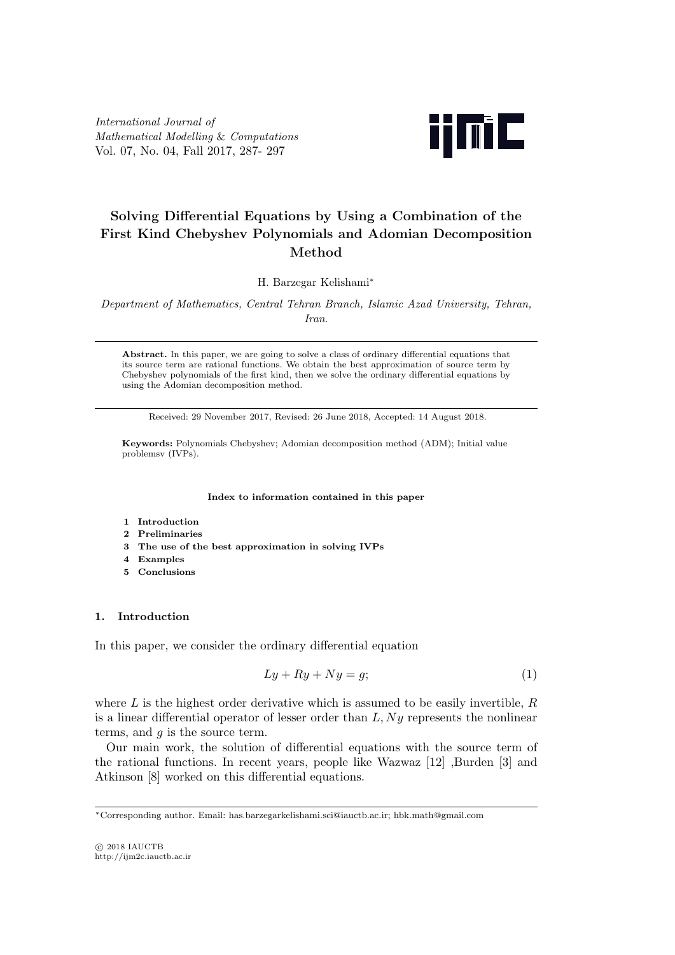International Journal of Mathematical Modelling & Computations Vol. 07, No. 04, Fall 2017, 287- 297



# Solving Differential Equations by Using a Combination of the First Kind Chebyshev Polynomials and Adomian Decomposition Method

H. Barzegar Kelishami<sup>∗</sup>

Department of Mathematics, Central Tehran Branch, Islamic Azad University, Tehran, Iran.

Abstract. In this paper, we are going to solve a class of ordinary differential equations that its source term are rational functions. We obtain the best approximation of source term by Chebyshev polynomials of the first kind, then we solve the ordinary differential equations by using the Adomian decomposition method.

Received: 29 November 2017, Revised: 26 June 2018, Accepted: 14 August 2018.

Keywords: Polynomials Chebyshev; Adomian decomposition method (ADM); Initial value problemsv (IVPs).

Index to information contained in this paper

- 1 Introduction
- 2 Preliminaries
- 3 The use of the best approximation in solving IVPs
- 4 Examples
- 5 Conclusions

## 1. Introduction

In this paper, we consider the ordinary differential equation

$$
Ly + Ry + Ny = g; \tag{1}
$$

where  $L$  is the highest order derivative which is assumed to be easily invertible,  $R$ is a linear differential operator of lesser order than  $L, Ny$  represents the nonlinear terms, and  $q$  is the source term.

Our main work, the solution of differential equations with the source term of the rational functions. In recent years, people like Wazwaz [12] ,Burden [3] and Atkinson [8] worked on this differential equations.

<sup>∗</sup>Corresponding author. Email: has.barzegarkelishami.sci@iauctb.ac.ir; hbk.math@gmail.com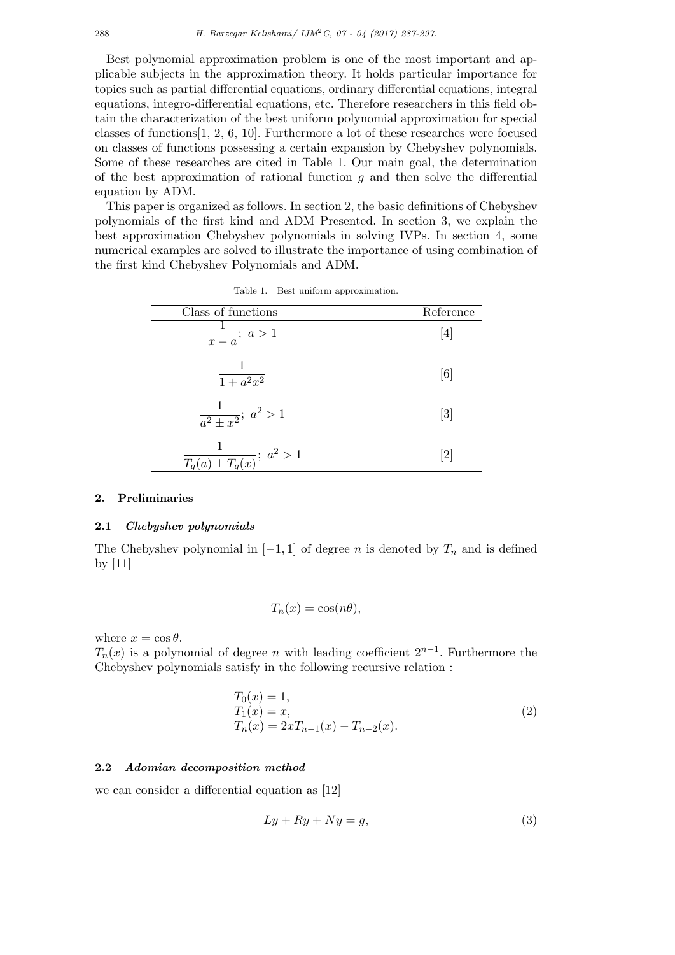Best polynomial approximation problem is one of the most important and applicable subjects in the approximation theory. It holds particular importance for topics such as partial differential equations, ordinary differential equations, integral equations, integro-differential equations, etc. Therefore researchers in this field obtain the characterization of the best uniform polynomial approximation for special classes of functions[1, 2, 6, 10]. Furthermore a lot of these researches were focused on classes of functions possessing a certain expansion by Chebyshev polynomials. Some of these researches are cited in Table 1. Our main goal, the determination of the best approximation of rational function  $q$  and then solve the differential equation by ADM.

This paper is organized as follows. In section 2, the basic definitions of Chebyshev polynomials of the first kind and ADM Presented. In section 3, we explain the best approximation Chebyshev polynomials in solving IVPs. In section 4, some numerical examples are solved to illustrate the importance of using combination of the first kind Chebyshev Polynomials and ADM.

| Class of functions                        | Reference         |
|-------------------------------------------|-------------------|
| $\frac{1}{x-a}$ ; $a>1$                   | [4]               |
| $\overline{1+a^2x^2}$                     | $\lceil 6 \rceil$ |
| $rac{1}{a^2 \pm x^2}$ ; $a^2 > 1$         | $\lceil 3 \rceil$ |
| $\frac{1}{T_q(a) \pm T_q(x)}$ ; $a^2 > 1$ | 2                 |

Table 1. Best uniform approximation.

#### 2. Preliminaries

#### 2.1 Chebyshev polynomials

The Chebyshev polynomial in  $[-1, 1]$  of degree n is denoted by  $T_n$  and is defined by [11]

$$
T_n(x) = \cos(n\theta),
$$

where  $x = \cos \theta$ .

 $T_n(x)$  is a polynomial of degree n with leading coefficient  $2^{n-1}$ . Furthermore the Chebyshev polynomials satisfy in the following recursive relation :

$$
T_0(x) = 1,T_1(x) = x,T_n(x) = 2xT_{n-1}(x) - T_{n-2}(x).
$$
\n(2)

#### 2.2 Adomian decomposition method

we can consider a differential equation as [12]

$$
Ly + Ry + Ny = g,\t\t(3)
$$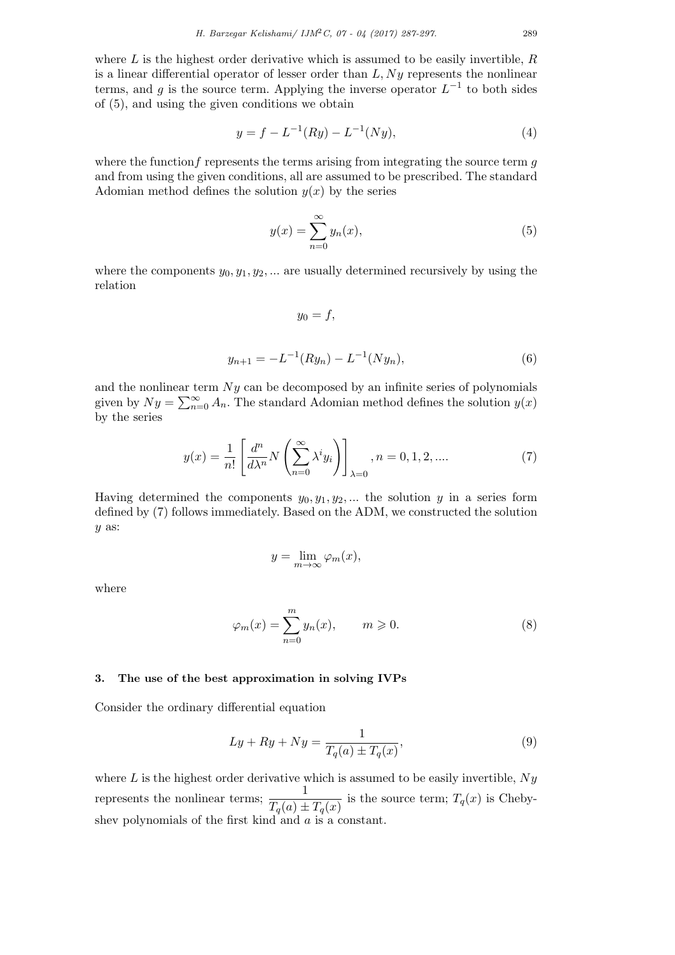where  $L$  is the highest order derivative which is assumed to be easily invertible,  $R$ is a linear differential operator of lesser order than  $L, Ny$  represents the nonlinear terms, and g is the source term. Applying the inverse operator  $L^{-1}$  to both sides of (5), and using the given conditions we obtain

$$
y = f - L^{-1}(Ry) - L^{-1}(Ny),\tag{4}
$$

where the function f represents the terms arising from integrating the source term  $q$ and from using the given conditions, all are assumed to be prescribed. The standard Adomian method defines the solution  $y(x)$  by the series

$$
y(x) = \sum_{n=0}^{\infty} y_n(x),
$$
\n(5)

where the components  $y_0, y_1, y_2, \dots$  are usually determined recursively by using the relation

$$
y_0=f,
$$

$$
y_{n+1} = -L^{-1}(Ry_n) - L^{-1}(Ny_n),
$$
\n(6)

and the nonlinear term  $Ny$  can be decomposed by an infinite series of polynomials given by  $Ny = \sum_{n=0}^{\infty} A_n$ . The standard Adomian method defines the solution  $y(x)$ by the series

$$
y(x) = \frac{1}{n!} \left[ \frac{d^n}{d\lambda^n} N\left(\sum_{n=0}^{\infty} \lambda^i y_i\right) \right]_{\lambda=0}, n = 0, 1, 2, .... \tag{7}
$$

Having determined the components  $y_0, y_1, y_2, ...$  the solution y in a series form defined by (7) follows immediately. Based on the ADM, we constructed the solution y as:

$$
y = \lim_{m \to \infty} \varphi_m(x),
$$

where

$$
\varphi_m(x) = \sum_{n=0}^m y_n(x), \qquad m \geqslant 0. \tag{8}
$$

### 3. The use of the best approximation in solving IVPs

Consider the ordinary differential equation

$$
Ly + Ry + Ny = \frac{1}{T_q(a) \pm T_q(x)},\tag{9}
$$

where L is the highest order derivative which is assumed to be easily invertible,  $Ny$ represents the nonlinear terms;  $\frac{1}{T(\cdot)}$  $\frac{1}{T_q(a) \pm T_q(x)}$  is the source term;  $T_q(x)$  is Chebyshev polynomials of the first kind and  $a$  is a constant.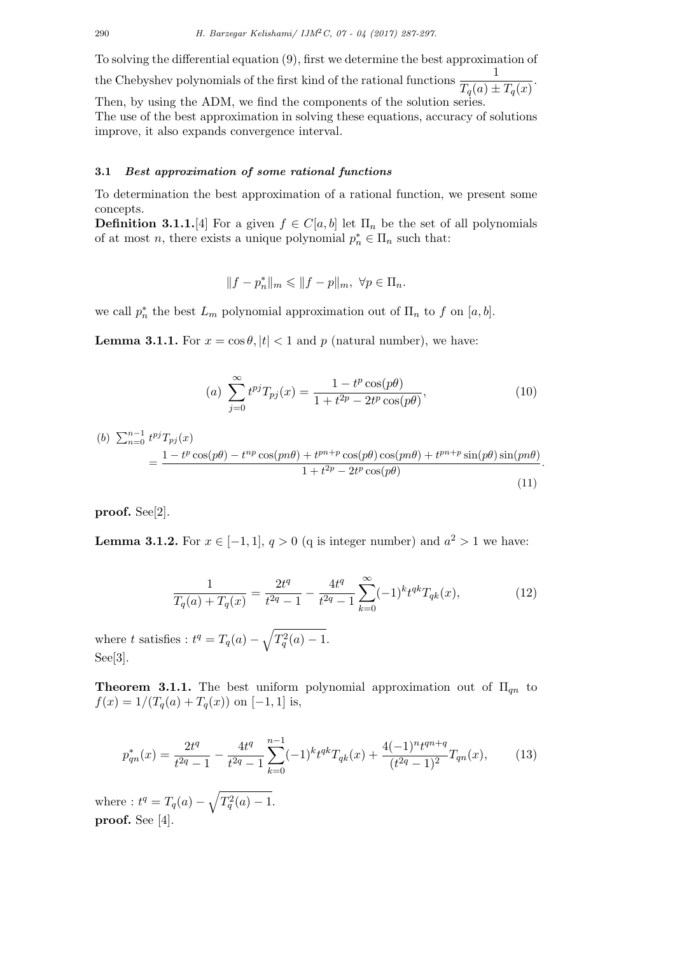To solving the differential equation (9), first we determine the best approximation of

the Chebyshev polynomials of the first kind of the rational functions  $\frac{1}{\sqrt{1-\frac{1}{n}}}\right)$  $\frac{1}{T_q(a) \pm T_q(x)}$ . Then, by using the ADM, we find the components of the solution series.

The use of the best approximation in solving these equations, accuracy of solutions improve, it also expands convergence interval.

## 3.1 Best approximation of some rational functions

To determination the best approximation of a rational function, we present some concepts.

**Definition 3.1.1.**[4] For a given  $f \in C[a, b]$  let  $\Pi_n$  be the set of all polynomials of at most *n*, there exists a unique polynomial  $p_n^* \in \Pi_n$  such that:

$$
||f-p_n^*||_m \leq ||f-p||_m, \ \forall p \in \Pi_n.
$$

we call  $p_n^*$  the best  $L_m$  polynomial approximation out of  $\Pi_n$  to f on  $[a, b]$ .

**Lemma 3.1.1.** For  $x = \cos \theta$ ,  $|t| < 1$  and p (natural number), we have:

(a) 
$$
\sum_{j=0}^{\infty} t^{pj} T_{pj}(x) = \frac{1 - t^p \cos(p\theta)}{1 + t^{2p} - 2t^p \cos(p\theta)},
$$
 (10)

(b) 
$$
\sum_{n=0}^{n-1} t^{pj} T_{pj}(x)
$$
  
= 
$$
\frac{1 - t^p \cos(p\theta) - t^{np} \cos(pn\theta) + t^{pn+p} \cos(p\theta) \cos(pn\theta) + t^{pn+p} \sin(p\theta) \sin(pn\theta)}{1 + t^{2p} - 2t^p \cos(p\theta)}
$$
 (11)

proof. See[2].

**Lemma 3.1.2.** For  $x \in [-1, 1], q > 0$  (q is integer number) and  $a^2 > 1$  we have:

$$
\frac{1}{T_q(a) + T_q(x)} = \frac{2t^q}{t^{2q} - 1} - \frac{4t^q}{t^{2q} - 1} \sum_{k=0}^{\infty} (-1)^k t^{qk} T_{qk}(x),\tag{12}
$$

where t satisfies :  $t^q = T_q(a) - \sqrt{T_q^2(a) - 1}.$ See[3].

**Theorem 3.1.1.** The best uniform polynomial approximation out of  $\Pi_{qn}$  to  $f(x) = 1/(T_q(a) + T_q(x))$  on [-1, 1] is,

$$
p_{qn}^*(x) = \frac{2t^q}{t^{2q} - 1} - \frac{4t^q}{t^{2q} - 1} \sum_{k=0}^{n-1} (-1)^k t^{qk} T_{qk}(x) + \frac{4(-1)^n t^{qn+q}}{(t^{2q} - 1)^2} T_{qn}(x),\tag{13}
$$

where :  $t^q = T_q(a) - \sqrt{T_q^2(a) - 1}.$ proof. See [4].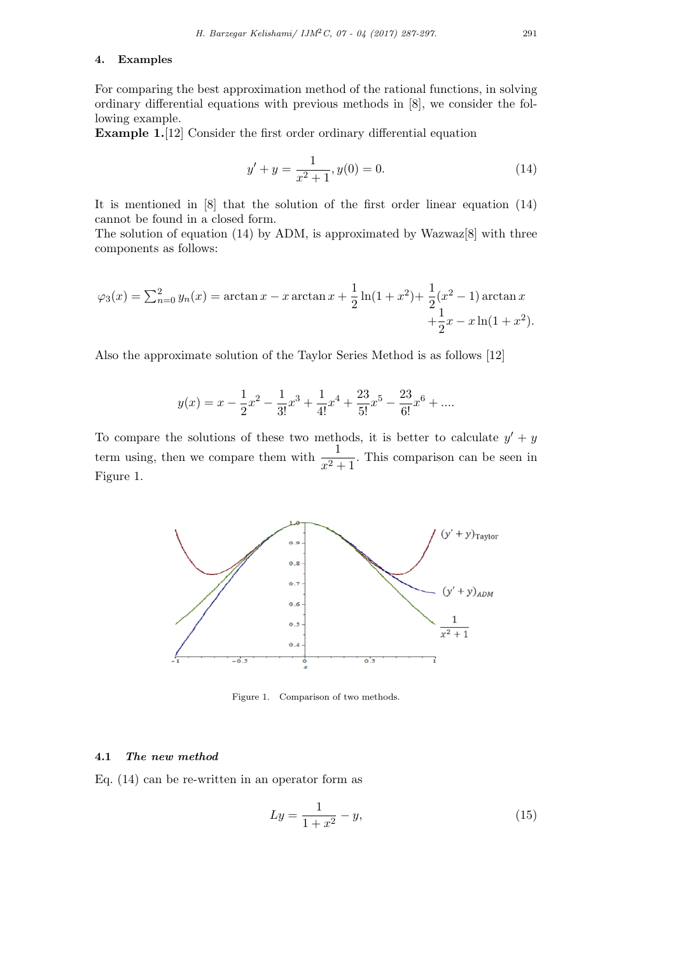### 4. Examples

For comparing the best approximation method of the rational functions, in solving ordinary differential equations with previous methods in [8], we consider the following example.

Example 1.[12] Consider the first order ordinary differential equation

$$
y' + y = \frac{1}{x^2 + 1}, y(0) = 0.
$$
 (14)

It is mentioned in [8] that the solution of the first order linear equation (14) cannot be found in a closed form.

The solution of equation (14) by ADM, is approximated by Wazwaz[8] with three components as follows:

$$
\varphi_3(x) = \sum_{n=0}^2 y_n(x) = \arctan x - x \arctan x + \frac{1}{2} \ln(1 + x^2) + \frac{1}{2} (x^2 - 1) \arctan x + \frac{1}{2} x - x \ln(1 + x^2).
$$

Also the approximate solution of the Taylor Series Method is as follows [12]

$$
y(x) = x - \frac{1}{2}x^2 - \frac{1}{3!}x^3 + \frac{1}{4!}x^4 + \frac{23}{5!}x^5 - \frac{23}{6!}x^6 + \dots
$$

To compare the solutions of these two methods, it is better to calculate  $y' + y$ term using, then we compare them with  $\frac{1}{x^2+1}$ . This comparison can be seen in Figure 1.



Figure 1. Comparison of two methods.

## 4.1 The new method

Eq. (14) can be re-written in an operator form as

$$
Ly = \frac{1}{1+x^2} - y,\tag{15}
$$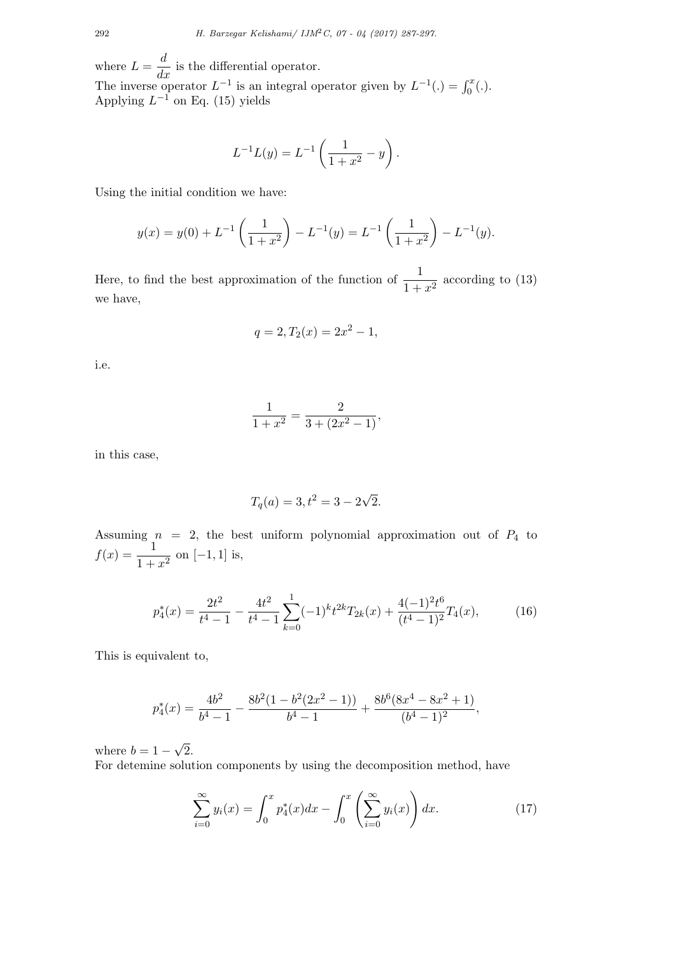where  $L = \frac{d}{dx}$  is the differential operator. The inverse operator  $L^{-1}$  is an integral operator given by  $L^{-1}(.) = \int_0^x (.)$ . Applying  $L^{-1}$  on Eq. (15) yields

$$
L^{-1}L(y) = L^{-1}\left(\frac{1}{1+x^2} - y\right).
$$

Using the initial condition we have:

$$
y(x) = y(0) + L^{-1}\left(\frac{1}{1+x^2}\right) - L^{-1}(y) = L^{-1}\left(\frac{1}{1+x^2}\right) - L^{-1}(y).
$$

Here, to find the best approximation of the function of  $\frac{1}{1+x^2}$  according to (13) we have,

$$
q = 2, T_2(x) = 2x^2 - 1,
$$

i.e.

$$
\frac{1}{1+x^2} = \frac{2}{3+(2x^2-1)},
$$

in this case,

$$
T_q(a) = 3, t^2 = 3 - 2\sqrt{2}.
$$

Assuming  $n = 2$ , the best uniform polynomial approximation out of  $P_4$  to  $f(x) = \frac{1}{1+x^2}$  on [-1, 1] is,

$$
p_4^*(x) = \frac{2t^2}{t^4 - 1} - \frac{4t^2}{t^4 - 1} \sum_{k=0}^1 (-1)^k t^{2k} T_{2k}(x) + \frac{4(-1)^2 t^6}{(t^4 - 1)^2} T_4(x),\tag{16}
$$

This is equivalent to,

$$
p_4^*(x) = \frac{4b^2}{b^4 - 1} - \frac{8b^2(1 - b^2(2x^2 - 1))}{b^4 - 1} + \frac{8b^6(8x^4 - 8x^2 + 1)}{(b^4 - 1)^2},
$$

where  $b = 1 -$ √ 2.

For detemine solution components by using the decomposition method, have

$$
\sum_{i=0}^{\infty} y_i(x) = \int_0^x p_4^*(x) dx - \int_0^x \left(\sum_{i=0}^{\infty} y_i(x)\right) dx.
$$
 (17)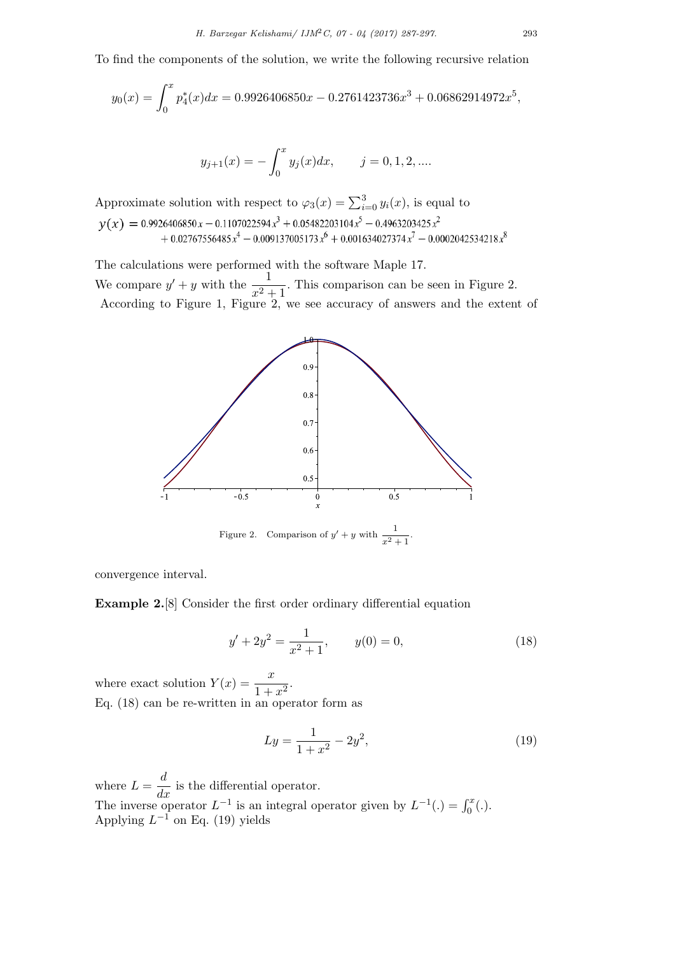To find the components of the solution, we write the following recursive relation

$$
y_0(x) = \int_0^x p_4^*(x)dx = 0.9926406850x - 0.2761423736x^3 + 0.06862914972x^5,
$$

$$
y_{j+1}(x) = -\int_0^x y_j(x)dx
$$
,  $j = 0, 1, 2, ...$ 

Approximate solution with respect to  $\varphi_3(x) = \sum_{i=0}^3 y_i(x)$ , is equal to

The calculations were performed with the software Maple 17. We compare  $y' + y$  with the  $\frac{1}{x^2 + 1}$ . This comparison can be seen in Figure 2. According to Figure 1, Figure 2, we see accuracy of answers and the extent of



convergence interval.

Example 2.[8] Consider the first order ordinary differential equation

$$
y' + 2y^2 = \frac{1}{x^2 + 1}, \qquad y(0) = 0,\tag{18}
$$

where exact solution  $Y(x) = \frac{x}{1 + x^2}$ . Eq. (18) can be re-written in an operator form as

$$
Ly = \frac{1}{1+x^2} - 2y^2,\tag{19}
$$

where  $L = \frac{d}{dx}$  is the differential operator. The inverse operator  $L^{-1}$  is an integral operator given by  $L^{-1}(.) = \int_0^x (.)$ . Applying  $L^{-1}$  on Eq. (19) yields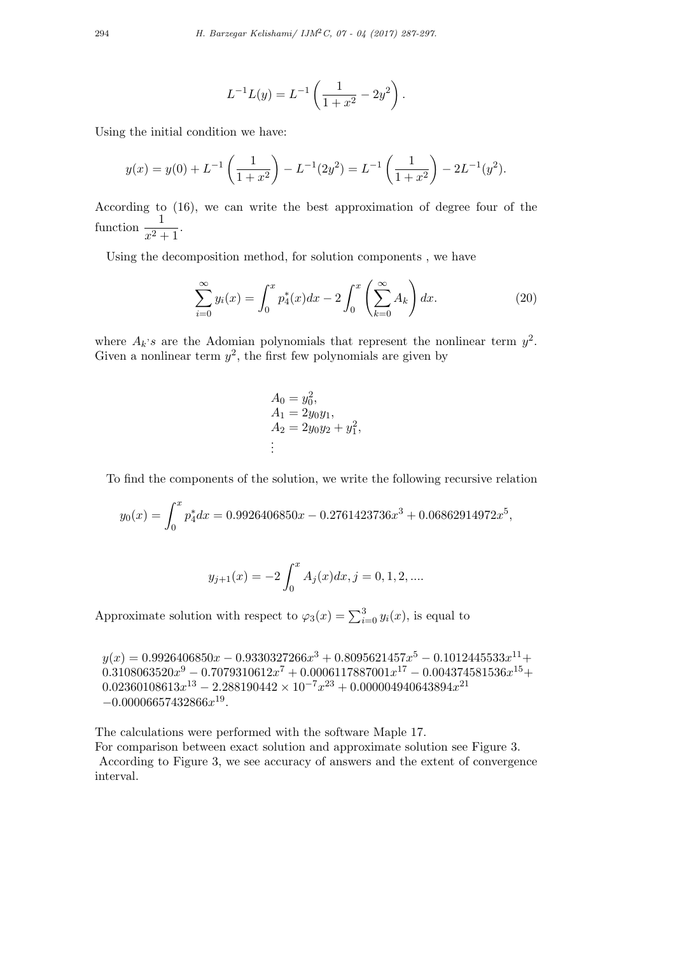$$
L^{-1}L(y) = L^{-1}\left(\frac{1}{1+x^2} - 2y^2\right).
$$

Using the initial condition we have:

$$
y(x) = y(0) + L^{-1}\left(\frac{1}{1+x^2}\right) - L^{-1}(2y^2) = L^{-1}\left(\frac{1}{1+x^2}\right) - 2L^{-1}(y^2).
$$

According to (16), we can write the best approximation of degree four of the function  $\frac{1}{x^2+1}$ .

Using the decomposition method, for solution components , we have

$$
\sum_{i=0}^{\infty} y_i(x) = \int_0^x p_4^*(x) dx - 2 \int_0^x \left(\sum_{k=0}^{\infty} A_k\right) dx.
$$
 (20)

where  $A_k$ 's are the Adomian polynomials that represent the nonlinear term  $y^2$ . Given a nonlinear term  $y^2$ , the first few polynomials are given by

$$
A_0 = y_0^2,
$$
  
\n
$$
A_1 = 2y_0y_1,
$$
  
\n
$$
A_2 = 2y_0y_2 + y_1^2,
$$
  
\n
$$
\vdots
$$

To find the components of the solution, we write the following recursive relation

$$
y_0(x) = \int_0^x p_4^* dx = 0.9926406850x - 0.2761423736x^3 + 0.06862914972x^5,
$$

$$
y_{j+1}(x) = -2 \int_0^x A_j(x) dx, j = 0, 1, 2, ....
$$

Approximate solution with respect to  $\varphi_3(x) = \sum_{i=0}^3 y_i(x)$ , is equal to

 $y(x) = 0.9926406850x - 0.9330327266x^3 + 0.8095621457x^5 - 0.1012445533x^{11} +$  $0.3108063520 x^9 - 0.7079310612 x^7 + 0.0006117887001 x^{17} - 0.004374581536 x^{15} +$  $0.02360108613x^{13} - 2.288190442 \times 10^{-7}x^{23} + 0.000004940643894x^{21}$  $-0.00006657432866x^{19}$ .

The calculations were performed with the software Maple 17.

For comparison between exact solution and approximate solution see Figure 3.

According to Figure 3, we see accuracy of answers and the extent of convergence interval.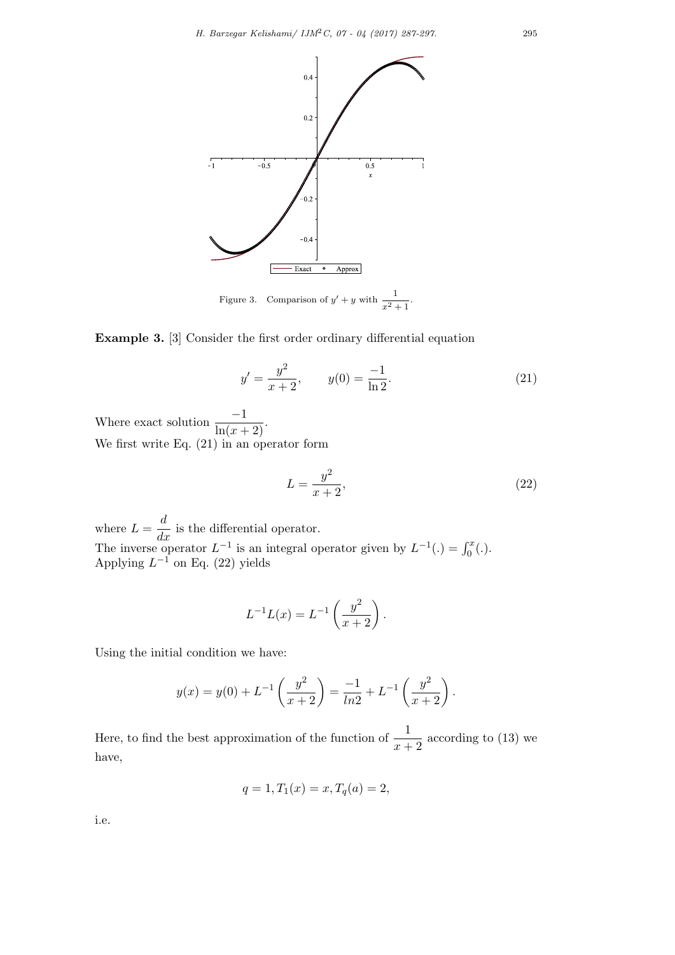

Example 3. [3] Consider the first order ordinary differential equation

$$
y' = \frac{y^2}{x+2}, \qquad y(0) = \frac{-1}{\ln 2}.
$$
 (21)

Where exact solution  $\frac{-1}{\ln(x+2)}$ . We first write Eq. (21) in an operator form

$$
L = \frac{y^2}{x+2},\tag{22}
$$

where  $L = \frac{d}{dx}$  is the differential operator. The inverse operator  $L^{-1}$  is an integral operator given by  $L^{-1}(.) = \int_0^x (.)$ . Applying  $L^{-1}$  on Eq. (22) yields

$$
L^{-1}L(x) = L^{-1}\left(\frac{y^2}{x+2}\right).
$$

Using the initial condition we have:

$$
y(x) = y(0) + L^{-1}\left(\frac{y^2}{x+2}\right) = \frac{-1}{\ln 2} + L^{-1}\left(\frac{y^2}{x+2}\right).
$$

Here, to find the best approximation of the function of  $\frac{1}{x+2}$  according to (13) we have,

$$
q = 1, T_1(x) = x, T_q(a) = 2,
$$

i.e.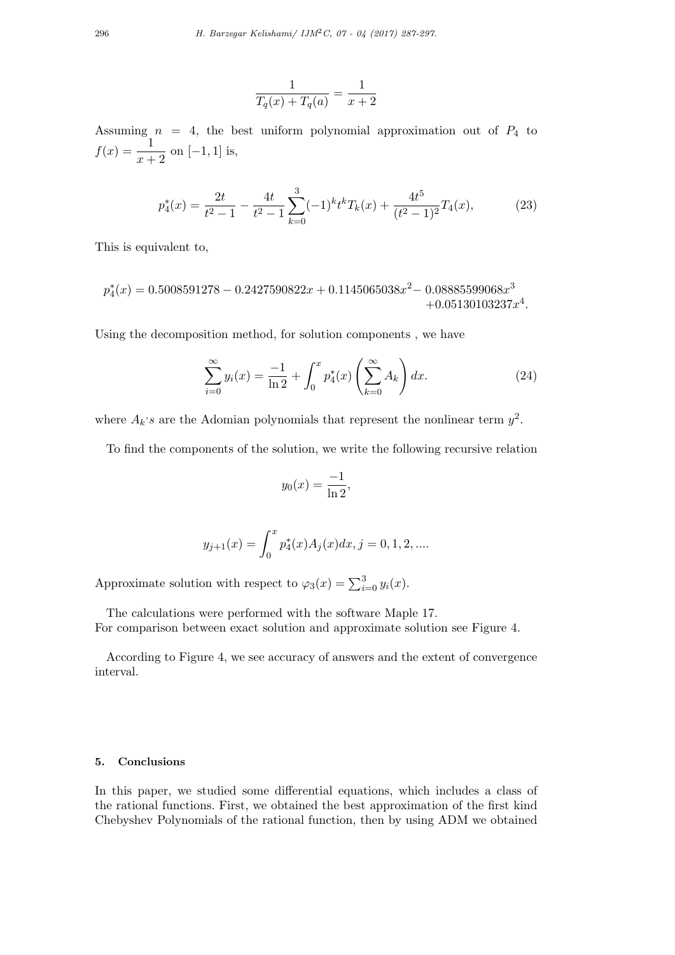$$
\frac{1}{T_q(x) + T_q(a)} = \frac{1}{x+2}
$$

Assuming  $n = 4$ , the best uniform polynomial approximation out of  $P_4$  to  $f(x) = \frac{1}{x+2}$  on [-1, 1] is,

$$
p_4^*(x) = \frac{2t}{t^2 - 1} - \frac{4t}{t^2 - 1} \sum_{k=0}^3 (-1)^k t^k T_k(x) + \frac{4t^5}{(t^2 - 1)^2} T_4(x),\tag{23}
$$

This is equivalent to,

$$
p_4^*(x) = 0.5008591278 - 0.2427590822x + 0.1145065038x^2 - 0.08885599068x^3 + 0.05130103237x^4.
$$

Using the decomposition method, for solution components , we have

$$
\sum_{i=0}^{\infty} y_i(x) = \frac{-1}{\ln 2} + \int_0^x p_4^*(x) \left(\sum_{k=0}^{\infty} A_k\right) dx.
$$
 (24)

where  $A_k$ 's are the Adomian polynomials that represent the nonlinear term  $y^2$ .

To find the components of the solution, we write the following recursive relation

$$
y_0(x) = \frac{-1}{\ln 2},
$$

$$
y_{j+1}(x) = \int_0^x p_4^*(x) A_j(x) dx, j = 0, 1, 2, \dots
$$

Approximate solution with respect to  $\varphi_3(x) = \sum_{i=0}^3 y_i(x)$ .

The calculations were performed with the software Maple 17.

For comparison between exact solution and approximate solution see Figure 4.

According to Figure 4, we see accuracy of answers and the extent of convergence interval.

## 5. Conclusions

In this paper, we studied some differential equations, which includes a class of the rational functions. First, we obtained the best approximation of the first kind Chebyshev Polynomials of the rational function, then by using ADM we obtained